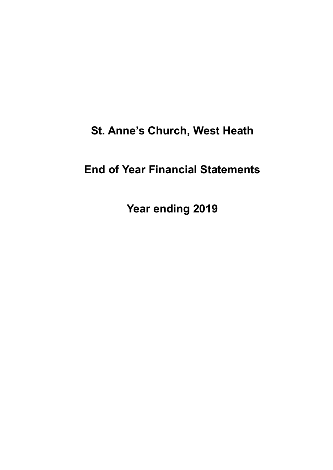# **St. Anne's Church, West Heath**

# **End of Year Financial Statements**

**Year ending 2019**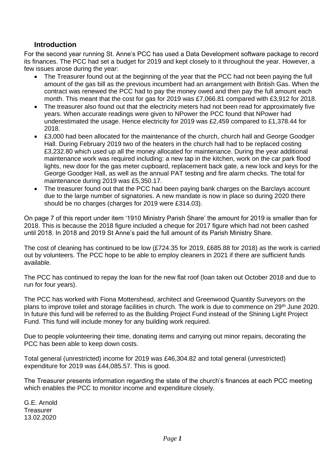### **Introduction**

For the second year running St. Anne's PCC has used a Data Development software package to record its finances. The PCC had set a budget for 2019 and kept closely to it throughout the year. However, a few issues arose during the year:

- The Treasurer found out at the beginning of the year that the PCC had not been paying the full amount of the gas bill as the previous incumbent had an arrangement with British Gas. When the contract was renewed the PCC had to pay the money owed and then pay the full amount each month. This meant that the cost for gas for 2019 was £7,066.81 compared with £3,912 for 2018.
- The treasurer also found out that the electricity meters had not been read for approximately five years. When accurate readings were given to NPower the PCC found that NPower had underestimated the usage. Hence electricity for 2019 was £2,459 compared to £1,378.44 for 2018.
- £3,000 had been allocated for the maintenance of the church, church hall and George Goodger Hall. During February 2019 two of the heaters in the church hall had to be replaced costing £3,232.80 which used up all the money allocated for maintenance. During the year additional maintenance work was required including: a new tap in the kitchen, work on the car park flood lights, new door for the gas meter cupboard, replacement back gate, a new lock and keys for the George Goodger Hall, as well as the annual PAT testing and fire alarm checks. The total for maintenance during 2019 was £5,350.17.
- The treasurer found out that the PCC had been paying bank charges on the Barclays account due to the large number of signatories. A new mandate is now in place so during 2020 there should be no charges (charges for 2019 were £314.03).

On page 7 of this report under item '1910 Ministry Parish Share' the amount for 2019 is smaller than for 2018. This is because the 2018 figure included a cheque for 2017 figure which had not been cashed until 2018. In 2018 and 2019 St Anne's paid the full amount of its Parish Ministry Share.

The cost of cleaning has continued to be low (£724.35 for 2019, £685.88 for 2018) as the work is carried out by volunteers. The PCC hope to be able to employ cleaners in 2021 if there are sufficient funds available.

The PCC has continued to repay the loan for the new flat roof (loan taken out October 2018 and due to run for four years).

The PCC has worked with Fiona Mottershead, architect and Greenwood Quantity Surveyors on the plans to improve toilet and storage facilities in church. The work is due to commence on 29<sup>th</sup> June 2020. In future this fund will be referred to as the Building Project Fund instead of the Shining Light Project Fund. This fund will include money for any building work required.

Due to people volunteering their time, donating items and carrying out minor repairs, decorating the PCC has been able to keep down costs.

Total general (unrestricted) income for 2019 was £46,304.82 and total general (unrestricted) expenditure for 2019 was £44,085.57. This is good.

The Treasurer presents information regarding the state of the church's finances at each PCC meeting which enables the PCC to monitor income and expenditure closely.

G.E. Arnold **Treasurer** 13.02.2020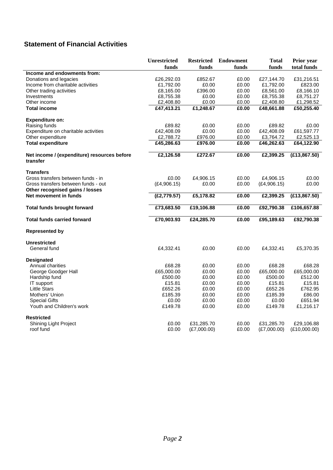## **Statement of Financial Activities**

|                                             | <b>Unrestricted</b> | <b>Restricted</b> | <b>Endowment</b>   | <b>Total</b> | Prior year    |
|---------------------------------------------|---------------------|-------------------|--------------------|--------------|---------------|
|                                             | funds               | funds             | funds              | funds        | total funds   |
| Income and endowments from:                 |                     |                   |                    |              |               |
| Donations and legacies                      | £26,292.03          | £852.67           | £0.00              | £27,144.70   | £31,216.51    |
| Income from charitable activities           | £1,792.00           | £0.00             | £0.00              | £1,792.00    | £823.00       |
| Other trading activities                    | £8,165.00           | £396.00           | £0.00              | £8,561.00    | £8,166.10     |
| Investments                                 | £8,755.38           | £0.00             | £0.00              | £8,755.38    | £8,751.27     |
| Other income                                | £2,408.80           | £0.00             | £0.00              | £2,408.80    | £1,298.52     |
| <b>Total income</b>                         | £47,413.21          | £1,248.67         | £0.00              | £48,661.88   | £50,255.40    |
| <b>Expenditure on:</b>                      |                     |                   |                    |              |               |
| Raising funds                               | £89.82              | £0.00             | £0.00              | £89.82       | £0.00         |
| Expenditure on charitable activities        | £42,408.09          | £0.00             | £0.00              | £42,408.09   | £61,597.77    |
| Other expenditure                           | £2,788.72           | £976.00           | £0.00              | £3,764.72    | £2,525.13     |
| <b>Total expenditure</b>                    | £45,286.63          | £976.00           | £0.00              | £46,262.63   | £64,122.90    |
| Net income / (expenditure) resources before | £2,126.58           | £272.67           | £0.00              | £2,399.25    | (E13, 867.50) |
| transfer                                    |                     |                   |                    |              |               |
| <b>Transfers</b>                            |                     |                   |                    |              |               |
| Gross transfers between funds - in          | £0.00               | £4,906.15         | £0.00              | £4.906.15    | £0.00         |
| Gross transfers between funds - out         | (E4, 906.15)        | £0.00             | £0.00              | (E4,906.15)  | £0.00         |
| Other recognised gains / losses             |                     |                   |                    |              |               |
| Net movement in funds                       | (E2, 779.57)        | £5,178.82         | £0.00              | £2,399.25    | (E13, 867.50) |
| <b>Total funds brought forward</b>          | £73,683.50          | £19,106.88        | $\overline{£0.00}$ | £92,790.38   | £106,657.88   |
| <b>Total funds carried forward</b>          | £70,903.93          | £24,285.70        | £0.00              | £95,189.63   | £92,790.38    |
| <b>Represented by</b>                       |                     |                   |                    |              |               |
| <b>Unrestricted</b>                         |                     |                   |                    |              |               |
| General fund                                | £4,332.41           | £0.00             | £0.00              | £4,332.41    | £5,370.35     |
| <b>Designated</b>                           |                     |                   |                    |              |               |
| Annual charities                            | £68.28              | £0.00             | £0.00              | £68.28       | £68.28        |
| George Goodger Hall                         | £65,000.00          | £0.00             | £0.00              | £65,000.00   | £65,000.00    |
| Hardship fund                               | £500.00             | £0.00             | £0.00              | £500.00      | £512.00       |
| IT support                                  | £15.81              | £0.00             | £0.00              | £15.81       | £15.81        |
| <b>Little Stars</b>                         | £652.26             | £0.00             | £0.00              | £652.26      | £762.95       |
| Mothers' Union                              | £185.39             | £0.00             | £0.00              | £185.39      | £86.00        |
| <b>Special Gifts</b>                        | £0.00               | £0.00             | £0.00              | £0.00        | £651.94       |
| Youth and Children's work                   | £149.78             | £0.00             | £0.00              | £149.78      | £1,216.17     |
| <b>Restricted</b>                           |                     |                   |                    |              |               |
| <b>Shining Light Project</b>                | £0.00               | £31,285.70        | £0.00              | £31,285.70   | £29,106.88    |
| roof fund                                   | £0.00               | (E7,000.00)       | £0.00              | (E7,000.00)  | (E10,000.00)  |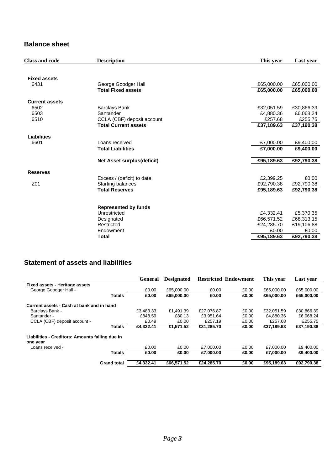### **Balance sheet**

| <b>Class and code</b> | <b>Description</b>          | This year  | Last vear  |
|-----------------------|-----------------------------|------------|------------|
|                       |                             |            |            |
| <b>Fixed assets</b>   |                             |            |            |
| 6431                  | George Goodger Hall         | £65,000.00 | £65,000.00 |
|                       | <b>Total Fixed assets</b>   | £65,000.00 | £65,000.00 |
| <b>Current assets</b> |                             |            |            |
| 6502                  | <b>Barclays Bank</b>        | £32,051.59 | £30,866.39 |
| 6503                  | Santander                   | £4,880.36  | £6,068.24  |
| 6510                  | CCLA (CBF) deposit account  | £257.68    | £255.75    |
|                       | <b>Total Current assets</b> | £37,189.63 | £37,190.38 |
| <b>Liabilities</b>    |                             |            |            |
| 6601                  | Loans received              | £7,000.00  | £9,400.00  |
|                       | <b>Total Liabilities</b>    | £7,000.00  | £9,400.00  |
|                       | Net Asset surplus(deficit)  | £95,189.63 | £92,790.38 |
| <b>Reserves</b>       |                             |            |            |
|                       | Excess / (deficit) to date  | £2,399.25  | £0.00      |
| Z01                   | Starting balances           | £92,790.38 | £92,790.38 |
|                       | <b>Total Reserves</b>       | £95,189.63 | £92,790.38 |
|                       |                             |            |            |
|                       | <b>Represented by funds</b> |            |            |
|                       | Unrestricted                | £4,332.41  | £5,370.35  |
|                       | Designated                  | £66,571.52 | £68,313.15 |
|                       | Restricted                  | £24,285.70 | £19,106.88 |
|                       | Endowment                   | £0.00      | £0.00      |
|                       | <b>Total</b>                | £95,189.63 | £92,790.38 |
|                       |                             |            |            |

### **Statement of assets and liabilities**

|                                                             |                    | <b>General</b> | <b>Designated</b> |            | <b>Restricted Endowment</b> | This year  | Last vear  |
|-------------------------------------------------------------|--------------------|----------------|-------------------|------------|-----------------------------|------------|------------|
| <b>Fixed assets - Heritage assets</b>                       |                    |                |                   |            |                             |            |            |
| George Goodger Hall -                                       |                    | £0.00          | £65,000.00        | £0.00      | £0.00                       | £65,000.00 | £65,000.00 |
|                                                             | <b>Totals</b>      | £0.00          | £65,000.00        | £0.00      | £0.00                       | £65,000.00 | £65.000.00 |
| Current assets - Cash at bank and in hand                   |                    |                |                   |            |                             |            |            |
| Barclays Bank -                                             |                    | £3.483.33      | £1.491.39         | £27.076.87 | £0.00                       | £32.051.59 | £30,866.39 |
| Santander -                                                 |                    | £848.59        | £80.13            | £3.951.64  | £0.00                       | £4,880.36  | £6,068.24  |
| CCLA (CBF) deposit account -                                |                    | £0.49          | £0.00             | £257.19    | £0.00                       | £257.68    | £255.75    |
|                                                             | <b>Totals</b>      | £4.332.41      | £1.571.52         | £31.285.70 | £0.00                       | £37.189.63 | £37.190.38 |
| Liabilities - Creditors: Amounts falling due in<br>one year |                    |                |                   |            |                             |            |            |
| Loans received -                                            |                    | £0.00          | £0.00             | £7,000.00  | £0.00                       | £7,000.00  | £9,400.00  |
|                                                             | <b>Totals</b>      | £0.00          | £0.00             | £7,000.00  | £0.00                       | £7,000.00  | £9,400.00  |
|                                                             | <b>Grand total</b> | £4.332.41      | £66.571.52        | £24.285.70 | £0.00                       | £95.189.63 | £92.790.38 |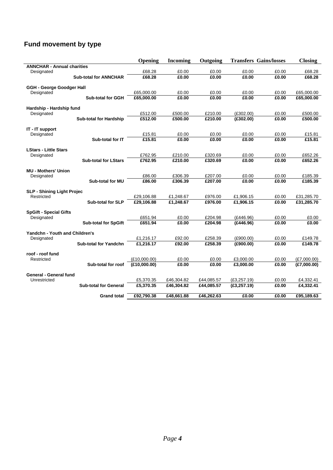## **Fund movement by type**

|                                        |                               | Opening                      | <b>Incoming</b> | Outgoing       |                        | <b>Transfers Gains/losses</b> | <b>Closing</b>             |
|----------------------------------------|-------------------------------|------------------------------|-----------------|----------------|------------------------|-------------------------------|----------------------------|
| <b>ANNCHAR - Annual charities</b>      |                               |                              |                 |                |                        |                               |                            |
| Designated                             |                               | £68.28                       | £0.00           | £0.00          | £0.00                  | £0.00                         | £68.28                     |
|                                        | <b>Sub-total for ANNCHAR</b>  | £68.28                       | £0.00           | £0.00          | £0.00                  | £0.00                         | £68.28                     |
| <b>GGH - George Goodger Hall</b>       |                               |                              |                 |                |                        |                               |                            |
| Designated                             |                               | £65,000.00                   | £0.00           | £0.00          | £0.00                  | £0.00                         | £65,000.00                 |
|                                        | <b>Sub-total for GGH</b>      | £65,000.00                   | £0.00           | £0.00          | £0.00                  | £0.00                         | £65,000.00                 |
|                                        |                               |                              |                 |                |                        |                               |                            |
| Hardship - Hardship fund<br>Designated |                               | £512.00                      | £500.00         | £210.00        | (E302.00)              | £0.00                         | £500.00                    |
|                                        | <b>Sub-total for Hardship</b> | £512.00                      | £500.00         | £210.00        | (E302.00)              | £0.00                         | £500.00                    |
|                                        |                               |                              |                 |                |                        |                               |                            |
| IT - IT support                        |                               |                              |                 |                |                        |                               |                            |
| Designated                             |                               | £15.81                       | £0.00           | £0.00          | £0.00                  | £0.00                         | £15.81                     |
|                                        | Sub-total for IT              | £15.81                       | £0.00           | £0.00          | £0.00                  | £0.00                         | £15.81                     |
| <b>LStars - Little Stars</b>           |                               |                              |                 |                |                        |                               |                            |
| Designated                             |                               | £762.95                      | £210.00         | £320.69        | £0.00                  | £0.00                         | £652.26                    |
|                                        | <b>Sub-total for LStars</b>   | £762.95                      | £210.00         | £320.69        | £0.00                  | £0.00                         | £652.26                    |
|                                        |                               |                              |                 |                |                        |                               |                            |
| <b>MU - Mothers' Union</b>             |                               |                              |                 |                |                        |                               |                            |
| Designated                             |                               | £86.00                       | £306.39         | £207.00        | £0.00                  | £0.00                         | £185.39                    |
|                                        | <b>Sub-total for MU</b>       | £86.00                       | £306.39         | £207.00        | £0.00                  | £0.00                         | £185.39                    |
| <b>SLP - Shining Light Projec</b>      |                               |                              |                 |                |                        |                               |                            |
| Restricted                             |                               | £29,106.88                   | £1,248.67       | £976.00        | £1,906.15              | £0.00                         | £31,285.70                 |
|                                        | <b>Sub-total for SLP</b>      | £29,106.88                   | £1,248.67       | £976.00        | £1,906.15              | £0.00                         | £31,285.70                 |
|                                        |                               |                              |                 |                |                        |                               |                            |
| <b>SpGift - Special Gifts</b>          |                               |                              |                 |                |                        |                               |                            |
| Designated                             |                               | £651.94                      | £0.00           | £204.98        | (£446.96)              | £0.00                         | £0.00                      |
|                                        | <b>Sub-total for SpGift</b>   | £651.94                      | £0.00           | £204.98        | (£446.96)              | £0.00                         | £0.00                      |
| Yandchn - Youth and Children's         |                               |                              |                 |                |                        |                               |                            |
| Designated                             |                               | £1,216.17                    | £92.00          | £258.39        | (E900.00)              | £0.00                         | £149.78                    |
|                                        | <b>Sub-total for Yandchn</b>  | £1,216.17                    | £92.00          | £258.39        | (E900.00)              | £0.00                         | £149.78                    |
|                                        |                               |                              |                 |                |                        |                               |                            |
| roof - roof fund                       |                               |                              |                 |                |                        |                               |                            |
| Restricted                             |                               | (E10.000.00)<br>(£10,000.00) | £0.00<br>£0.00  | £0.00<br>£0.00 | £3.000.00<br>£3,000.00 | £0.00<br>£0.00                | (E7,000.00)<br>(E7,000.00) |
|                                        | Sub-total for roof            |                              |                 |                |                        |                               |                            |
| General - General fund                 |                               |                              |                 |                |                        |                               |                            |
| Unrestricted                           |                               | £5,370.35                    | £46,304.82      | £44,085.57     | (E3, 257.19)           | £0.00                         | £4,332.41                  |
|                                        | <b>Sub-total for General</b>  | £5,370.35                    | £46,304.82      | £44,085.57     | (E3, 257.19)           | £0.00                         | £4,332.41                  |
|                                        |                               |                              |                 |                |                        |                               |                            |
|                                        | <b>Grand total</b>            | £92,790.38                   | £48,661.88      | £46,262.63     | £0.00                  | £0.00                         | £95,189.63                 |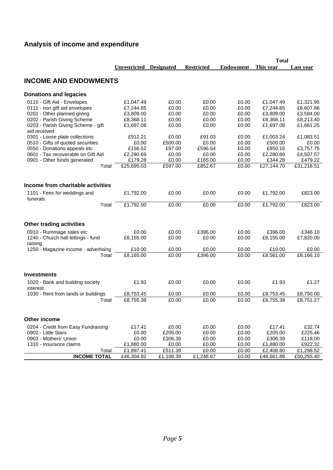# **Analysis of income and expenditure**

| <b>Unrestricted</b><br><b>Designated</b><br><b>Restricted</b><br><b>Endowment</b><br>This year<br>Last year<br><b>INCOME AND ENDOWMENTS</b><br><b>Donations and legacies</b><br>£0.00<br>£0.00<br>0110 - Gift Aid - Envelopes<br>£1,047.49<br>£0.00<br>£1,047.49<br>£1,321.95<br>0111 - non gift aid envelopes<br>£7,244.65<br>£0.00<br>£0.00<br>£0.00<br>£7,244.65<br>£6,607.86<br>0201 - Other planned giving<br>£3,809.00<br>£0.00<br>£0.00<br>£3,809.00<br>£3,584.00<br>£0.00<br>0202 - Parish Giving Scheme<br>£8,368.11<br>£0.00<br>£0.00<br>£0.00<br>£8,368.11<br>£8,213.40<br>0203 - Parish Giving Scheme - gift<br>£0.00<br>£0.00<br>£0.00<br>£1,697.08<br>£1,661.25<br>£1,697.08<br>aid received<br>0301 - Loose plate collections<br>£912.21<br>£91.03<br>£0.00<br>£0.00<br>£1,003.24<br>£1,083.51<br>0510 - Gifts of quoted securities<br>£0.00<br>£500.00<br>£0.00<br>£0.00<br>£500.00<br>£0.00<br>0550 - Donations appeals etc<br>£156.52<br>£97.00<br>£596.64<br>£0.00<br>£850.16<br>£3,757.75<br>0601 - Tax recoverable on Gift Aid<br>£2,280.69<br>£0.00<br>£0.00<br>£0.00<br>£2,280.69<br>£4,507.57<br>£179.28<br>£165.00<br>£479.22<br>0901 - Other funds generated<br>£0.00<br>£0.00<br>£344.28<br>£852.67<br>£31,216.51<br>£25,695.03<br>£597.00<br>£0.00<br>£27,144.70<br>Total<br>Income from charitable activities<br>£0.00<br>£0.00<br>£0.00<br>£823.00<br>1101 - Fees for weddings and<br>£1,792.00<br>£1,792.00<br>funerals<br>£1,792.00<br>£0.00<br>Total<br>£0.00<br>£0.00<br>£1,792.00<br>£823.00<br><b>Other trading activities</b><br>0910 - Rummage sales etc<br>£0.00<br>£0.00<br>£396.00<br>£0.00<br>£396.00<br>£346.10<br>1240 - Church hall lettings - fund<br>£8,155.00<br>£0.00<br>£8,155.00<br>£7,820.00<br>£0.00<br>£0.00<br>raising<br>1250 - Magazine income - advertising<br>£0.00<br>£10.00<br>£0.00<br>£0.00<br>£0.00<br>£10.00<br>£396.00<br>£8,166.10<br>£8,165.00<br>£0.00<br>£0.00<br>£8,561.00<br>Total<br><b>Investments</b><br>£1.93<br>£0.00<br>£0.00<br>£0.00<br>£1.93<br>£1.27<br>1020 - Bank and building society<br>interest<br>1030 - Rent from lands or buildings<br>£8,753.45<br>£0.00<br>£0.00<br>£0.00<br>£8,753.45<br>£8,750.00<br>£8,755.38<br>£0.00<br>£0.00<br>£0.00<br>£8,755.38<br>£8,751.27<br>Total<br>Other income<br>£17.41<br>£0.00<br>£0.00<br>£0.00<br>£17.41<br>£32.74<br>0204 - Credit from Easy Fundraising<br>0902 - Little Stars<br>£0.00<br>£205.00<br>£0.00<br>£0.00<br>£205.00<br>£225.46<br>0903 - Mothers' Union<br>£0.00<br>£306.39<br>£0.00<br>£0.00<br>£306.39<br>£118.00<br>£922.32<br>1310 - Insurance claims<br>£1,880.00<br>£0.00<br>£0.00<br>£0.00<br>£1,880.00<br>£1,897.41<br>£511.39<br>£0.00<br>£1,298.52<br>Total<br>£0.00<br>£2,408.80<br><b>INCOME TOTAL</b><br>£46,304.82<br>£50,255.40<br>£1,108.39<br>£1,248.67<br>£0.00<br>£48,661.88 |  |  | <b>Total</b> |  |
|------------------------------------------------------------------------------------------------------------------------------------------------------------------------------------------------------------------------------------------------------------------------------------------------------------------------------------------------------------------------------------------------------------------------------------------------------------------------------------------------------------------------------------------------------------------------------------------------------------------------------------------------------------------------------------------------------------------------------------------------------------------------------------------------------------------------------------------------------------------------------------------------------------------------------------------------------------------------------------------------------------------------------------------------------------------------------------------------------------------------------------------------------------------------------------------------------------------------------------------------------------------------------------------------------------------------------------------------------------------------------------------------------------------------------------------------------------------------------------------------------------------------------------------------------------------------------------------------------------------------------------------------------------------------------------------------------------------------------------------------------------------------------------------------------------------------------------------------------------------------------------------------------------------------------------------------------------------------------------------------------------------------------------------------------------------------------------------------------------------------------------------------------------------------------------------------------------------------------------------------------------------------------------------------------------------------------------------------------------------------------------------------------------------------------------------------------------------------------------------------------------------------------------------------------------------------------------------------------------------------------------------------------------------------------------------------------------------------------------------------------------------------------------------------------------------------------------------------|--|--|--------------|--|
|                                                                                                                                                                                                                                                                                                                                                                                                                                                                                                                                                                                                                                                                                                                                                                                                                                                                                                                                                                                                                                                                                                                                                                                                                                                                                                                                                                                                                                                                                                                                                                                                                                                                                                                                                                                                                                                                                                                                                                                                                                                                                                                                                                                                                                                                                                                                                                                                                                                                                                                                                                                                                                                                                                                                                                                                                                                |  |  |              |  |
|                                                                                                                                                                                                                                                                                                                                                                                                                                                                                                                                                                                                                                                                                                                                                                                                                                                                                                                                                                                                                                                                                                                                                                                                                                                                                                                                                                                                                                                                                                                                                                                                                                                                                                                                                                                                                                                                                                                                                                                                                                                                                                                                                                                                                                                                                                                                                                                                                                                                                                                                                                                                                                                                                                                                                                                                                                                |  |  |              |  |
|                                                                                                                                                                                                                                                                                                                                                                                                                                                                                                                                                                                                                                                                                                                                                                                                                                                                                                                                                                                                                                                                                                                                                                                                                                                                                                                                                                                                                                                                                                                                                                                                                                                                                                                                                                                                                                                                                                                                                                                                                                                                                                                                                                                                                                                                                                                                                                                                                                                                                                                                                                                                                                                                                                                                                                                                                                                |  |  |              |  |
|                                                                                                                                                                                                                                                                                                                                                                                                                                                                                                                                                                                                                                                                                                                                                                                                                                                                                                                                                                                                                                                                                                                                                                                                                                                                                                                                                                                                                                                                                                                                                                                                                                                                                                                                                                                                                                                                                                                                                                                                                                                                                                                                                                                                                                                                                                                                                                                                                                                                                                                                                                                                                                                                                                                                                                                                                                                |  |  |              |  |
|                                                                                                                                                                                                                                                                                                                                                                                                                                                                                                                                                                                                                                                                                                                                                                                                                                                                                                                                                                                                                                                                                                                                                                                                                                                                                                                                                                                                                                                                                                                                                                                                                                                                                                                                                                                                                                                                                                                                                                                                                                                                                                                                                                                                                                                                                                                                                                                                                                                                                                                                                                                                                                                                                                                                                                                                                                                |  |  |              |  |
|                                                                                                                                                                                                                                                                                                                                                                                                                                                                                                                                                                                                                                                                                                                                                                                                                                                                                                                                                                                                                                                                                                                                                                                                                                                                                                                                                                                                                                                                                                                                                                                                                                                                                                                                                                                                                                                                                                                                                                                                                                                                                                                                                                                                                                                                                                                                                                                                                                                                                                                                                                                                                                                                                                                                                                                                                                                |  |  |              |  |
|                                                                                                                                                                                                                                                                                                                                                                                                                                                                                                                                                                                                                                                                                                                                                                                                                                                                                                                                                                                                                                                                                                                                                                                                                                                                                                                                                                                                                                                                                                                                                                                                                                                                                                                                                                                                                                                                                                                                                                                                                                                                                                                                                                                                                                                                                                                                                                                                                                                                                                                                                                                                                                                                                                                                                                                                                                                |  |  |              |  |
|                                                                                                                                                                                                                                                                                                                                                                                                                                                                                                                                                                                                                                                                                                                                                                                                                                                                                                                                                                                                                                                                                                                                                                                                                                                                                                                                                                                                                                                                                                                                                                                                                                                                                                                                                                                                                                                                                                                                                                                                                                                                                                                                                                                                                                                                                                                                                                                                                                                                                                                                                                                                                                                                                                                                                                                                                                                |  |  |              |  |
|                                                                                                                                                                                                                                                                                                                                                                                                                                                                                                                                                                                                                                                                                                                                                                                                                                                                                                                                                                                                                                                                                                                                                                                                                                                                                                                                                                                                                                                                                                                                                                                                                                                                                                                                                                                                                                                                                                                                                                                                                                                                                                                                                                                                                                                                                                                                                                                                                                                                                                                                                                                                                                                                                                                                                                                                                                                |  |  |              |  |
|                                                                                                                                                                                                                                                                                                                                                                                                                                                                                                                                                                                                                                                                                                                                                                                                                                                                                                                                                                                                                                                                                                                                                                                                                                                                                                                                                                                                                                                                                                                                                                                                                                                                                                                                                                                                                                                                                                                                                                                                                                                                                                                                                                                                                                                                                                                                                                                                                                                                                                                                                                                                                                                                                                                                                                                                                                                |  |  |              |  |
|                                                                                                                                                                                                                                                                                                                                                                                                                                                                                                                                                                                                                                                                                                                                                                                                                                                                                                                                                                                                                                                                                                                                                                                                                                                                                                                                                                                                                                                                                                                                                                                                                                                                                                                                                                                                                                                                                                                                                                                                                                                                                                                                                                                                                                                                                                                                                                                                                                                                                                                                                                                                                                                                                                                                                                                                                                                |  |  |              |  |
|                                                                                                                                                                                                                                                                                                                                                                                                                                                                                                                                                                                                                                                                                                                                                                                                                                                                                                                                                                                                                                                                                                                                                                                                                                                                                                                                                                                                                                                                                                                                                                                                                                                                                                                                                                                                                                                                                                                                                                                                                                                                                                                                                                                                                                                                                                                                                                                                                                                                                                                                                                                                                                                                                                                                                                                                                                                |  |  |              |  |
|                                                                                                                                                                                                                                                                                                                                                                                                                                                                                                                                                                                                                                                                                                                                                                                                                                                                                                                                                                                                                                                                                                                                                                                                                                                                                                                                                                                                                                                                                                                                                                                                                                                                                                                                                                                                                                                                                                                                                                                                                                                                                                                                                                                                                                                                                                                                                                                                                                                                                                                                                                                                                                                                                                                                                                                                                                                |  |  |              |  |
|                                                                                                                                                                                                                                                                                                                                                                                                                                                                                                                                                                                                                                                                                                                                                                                                                                                                                                                                                                                                                                                                                                                                                                                                                                                                                                                                                                                                                                                                                                                                                                                                                                                                                                                                                                                                                                                                                                                                                                                                                                                                                                                                                                                                                                                                                                                                                                                                                                                                                                                                                                                                                                                                                                                                                                                                                                                |  |  |              |  |
|                                                                                                                                                                                                                                                                                                                                                                                                                                                                                                                                                                                                                                                                                                                                                                                                                                                                                                                                                                                                                                                                                                                                                                                                                                                                                                                                                                                                                                                                                                                                                                                                                                                                                                                                                                                                                                                                                                                                                                                                                                                                                                                                                                                                                                                                                                                                                                                                                                                                                                                                                                                                                                                                                                                                                                                                                                                |  |  |              |  |
|                                                                                                                                                                                                                                                                                                                                                                                                                                                                                                                                                                                                                                                                                                                                                                                                                                                                                                                                                                                                                                                                                                                                                                                                                                                                                                                                                                                                                                                                                                                                                                                                                                                                                                                                                                                                                                                                                                                                                                                                                                                                                                                                                                                                                                                                                                                                                                                                                                                                                                                                                                                                                                                                                                                                                                                                                                                |  |  |              |  |
|                                                                                                                                                                                                                                                                                                                                                                                                                                                                                                                                                                                                                                                                                                                                                                                                                                                                                                                                                                                                                                                                                                                                                                                                                                                                                                                                                                                                                                                                                                                                                                                                                                                                                                                                                                                                                                                                                                                                                                                                                                                                                                                                                                                                                                                                                                                                                                                                                                                                                                                                                                                                                                                                                                                                                                                                                                                |  |  |              |  |
|                                                                                                                                                                                                                                                                                                                                                                                                                                                                                                                                                                                                                                                                                                                                                                                                                                                                                                                                                                                                                                                                                                                                                                                                                                                                                                                                                                                                                                                                                                                                                                                                                                                                                                                                                                                                                                                                                                                                                                                                                                                                                                                                                                                                                                                                                                                                                                                                                                                                                                                                                                                                                                                                                                                                                                                                                                                |  |  |              |  |
|                                                                                                                                                                                                                                                                                                                                                                                                                                                                                                                                                                                                                                                                                                                                                                                                                                                                                                                                                                                                                                                                                                                                                                                                                                                                                                                                                                                                                                                                                                                                                                                                                                                                                                                                                                                                                                                                                                                                                                                                                                                                                                                                                                                                                                                                                                                                                                                                                                                                                                                                                                                                                                                                                                                                                                                                                                                |  |  |              |  |
|                                                                                                                                                                                                                                                                                                                                                                                                                                                                                                                                                                                                                                                                                                                                                                                                                                                                                                                                                                                                                                                                                                                                                                                                                                                                                                                                                                                                                                                                                                                                                                                                                                                                                                                                                                                                                                                                                                                                                                                                                                                                                                                                                                                                                                                                                                                                                                                                                                                                                                                                                                                                                                                                                                                                                                                                                                                |  |  |              |  |
|                                                                                                                                                                                                                                                                                                                                                                                                                                                                                                                                                                                                                                                                                                                                                                                                                                                                                                                                                                                                                                                                                                                                                                                                                                                                                                                                                                                                                                                                                                                                                                                                                                                                                                                                                                                                                                                                                                                                                                                                                                                                                                                                                                                                                                                                                                                                                                                                                                                                                                                                                                                                                                                                                                                                                                                                                                                |  |  |              |  |
|                                                                                                                                                                                                                                                                                                                                                                                                                                                                                                                                                                                                                                                                                                                                                                                                                                                                                                                                                                                                                                                                                                                                                                                                                                                                                                                                                                                                                                                                                                                                                                                                                                                                                                                                                                                                                                                                                                                                                                                                                                                                                                                                                                                                                                                                                                                                                                                                                                                                                                                                                                                                                                                                                                                                                                                                                                                |  |  |              |  |
|                                                                                                                                                                                                                                                                                                                                                                                                                                                                                                                                                                                                                                                                                                                                                                                                                                                                                                                                                                                                                                                                                                                                                                                                                                                                                                                                                                                                                                                                                                                                                                                                                                                                                                                                                                                                                                                                                                                                                                                                                                                                                                                                                                                                                                                                                                                                                                                                                                                                                                                                                                                                                                                                                                                                                                                                                                                |  |  |              |  |
|                                                                                                                                                                                                                                                                                                                                                                                                                                                                                                                                                                                                                                                                                                                                                                                                                                                                                                                                                                                                                                                                                                                                                                                                                                                                                                                                                                                                                                                                                                                                                                                                                                                                                                                                                                                                                                                                                                                                                                                                                                                                                                                                                                                                                                                                                                                                                                                                                                                                                                                                                                                                                                                                                                                                                                                                                                                |  |  |              |  |
|                                                                                                                                                                                                                                                                                                                                                                                                                                                                                                                                                                                                                                                                                                                                                                                                                                                                                                                                                                                                                                                                                                                                                                                                                                                                                                                                                                                                                                                                                                                                                                                                                                                                                                                                                                                                                                                                                                                                                                                                                                                                                                                                                                                                                                                                                                                                                                                                                                                                                                                                                                                                                                                                                                                                                                                                                                                |  |  |              |  |
|                                                                                                                                                                                                                                                                                                                                                                                                                                                                                                                                                                                                                                                                                                                                                                                                                                                                                                                                                                                                                                                                                                                                                                                                                                                                                                                                                                                                                                                                                                                                                                                                                                                                                                                                                                                                                                                                                                                                                                                                                                                                                                                                                                                                                                                                                                                                                                                                                                                                                                                                                                                                                                                                                                                                                                                                                                                |  |  |              |  |
|                                                                                                                                                                                                                                                                                                                                                                                                                                                                                                                                                                                                                                                                                                                                                                                                                                                                                                                                                                                                                                                                                                                                                                                                                                                                                                                                                                                                                                                                                                                                                                                                                                                                                                                                                                                                                                                                                                                                                                                                                                                                                                                                                                                                                                                                                                                                                                                                                                                                                                                                                                                                                                                                                                                                                                                                                                                |  |  |              |  |
|                                                                                                                                                                                                                                                                                                                                                                                                                                                                                                                                                                                                                                                                                                                                                                                                                                                                                                                                                                                                                                                                                                                                                                                                                                                                                                                                                                                                                                                                                                                                                                                                                                                                                                                                                                                                                                                                                                                                                                                                                                                                                                                                                                                                                                                                                                                                                                                                                                                                                                                                                                                                                                                                                                                                                                                                                                                |  |  |              |  |
|                                                                                                                                                                                                                                                                                                                                                                                                                                                                                                                                                                                                                                                                                                                                                                                                                                                                                                                                                                                                                                                                                                                                                                                                                                                                                                                                                                                                                                                                                                                                                                                                                                                                                                                                                                                                                                                                                                                                                                                                                                                                                                                                                                                                                                                                                                                                                                                                                                                                                                                                                                                                                                                                                                                                                                                                                                                |  |  |              |  |
|                                                                                                                                                                                                                                                                                                                                                                                                                                                                                                                                                                                                                                                                                                                                                                                                                                                                                                                                                                                                                                                                                                                                                                                                                                                                                                                                                                                                                                                                                                                                                                                                                                                                                                                                                                                                                                                                                                                                                                                                                                                                                                                                                                                                                                                                                                                                                                                                                                                                                                                                                                                                                                                                                                                                                                                                                                                |  |  |              |  |
|                                                                                                                                                                                                                                                                                                                                                                                                                                                                                                                                                                                                                                                                                                                                                                                                                                                                                                                                                                                                                                                                                                                                                                                                                                                                                                                                                                                                                                                                                                                                                                                                                                                                                                                                                                                                                                                                                                                                                                                                                                                                                                                                                                                                                                                                                                                                                                                                                                                                                                                                                                                                                                                                                                                                                                                                                                                |  |  |              |  |
|                                                                                                                                                                                                                                                                                                                                                                                                                                                                                                                                                                                                                                                                                                                                                                                                                                                                                                                                                                                                                                                                                                                                                                                                                                                                                                                                                                                                                                                                                                                                                                                                                                                                                                                                                                                                                                                                                                                                                                                                                                                                                                                                                                                                                                                                                                                                                                                                                                                                                                                                                                                                                                                                                                                                                                                                                                                |  |  |              |  |
|                                                                                                                                                                                                                                                                                                                                                                                                                                                                                                                                                                                                                                                                                                                                                                                                                                                                                                                                                                                                                                                                                                                                                                                                                                                                                                                                                                                                                                                                                                                                                                                                                                                                                                                                                                                                                                                                                                                                                                                                                                                                                                                                                                                                                                                                                                                                                                                                                                                                                                                                                                                                                                                                                                                                                                                                                                                |  |  |              |  |
|                                                                                                                                                                                                                                                                                                                                                                                                                                                                                                                                                                                                                                                                                                                                                                                                                                                                                                                                                                                                                                                                                                                                                                                                                                                                                                                                                                                                                                                                                                                                                                                                                                                                                                                                                                                                                                                                                                                                                                                                                                                                                                                                                                                                                                                                                                                                                                                                                                                                                                                                                                                                                                                                                                                                                                                                                                                |  |  |              |  |
|                                                                                                                                                                                                                                                                                                                                                                                                                                                                                                                                                                                                                                                                                                                                                                                                                                                                                                                                                                                                                                                                                                                                                                                                                                                                                                                                                                                                                                                                                                                                                                                                                                                                                                                                                                                                                                                                                                                                                                                                                                                                                                                                                                                                                                                                                                                                                                                                                                                                                                                                                                                                                                                                                                                                                                                                                                                |  |  |              |  |
|                                                                                                                                                                                                                                                                                                                                                                                                                                                                                                                                                                                                                                                                                                                                                                                                                                                                                                                                                                                                                                                                                                                                                                                                                                                                                                                                                                                                                                                                                                                                                                                                                                                                                                                                                                                                                                                                                                                                                                                                                                                                                                                                                                                                                                                                                                                                                                                                                                                                                                                                                                                                                                                                                                                                                                                                                                                |  |  |              |  |
|                                                                                                                                                                                                                                                                                                                                                                                                                                                                                                                                                                                                                                                                                                                                                                                                                                                                                                                                                                                                                                                                                                                                                                                                                                                                                                                                                                                                                                                                                                                                                                                                                                                                                                                                                                                                                                                                                                                                                                                                                                                                                                                                                                                                                                                                                                                                                                                                                                                                                                                                                                                                                                                                                                                                                                                                                                                |  |  |              |  |
|                                                                                                                                                                                                                                                                                                                                                                                                                                                                                                                                                                                                                                                                                                                                                                                                                                                                                                                                                                                                                                                                                                                                                                                                                                                                                                                                                                                                                                                                                                                                                                                                                                                                                                                                                                                                                                                                                                                                                                                                                                                                                                                                                                                                                                                                                                                                                                                                                                                                                                                                                                                                                                                                                                                                                                                                                                                |  |  |              |  |
|                                                                                                                                                                                                                                                                                                                                                                                                                                                                                                                                                                                                                                                                                                                                                                                                                                                                                                                                                                                                                                                                                                                                                                                                                                                                                                                                                                                                                                                                                                                                                                                                                                                                                                                                                                                                                                                                                                                                                                                                                                                                                                                                                                                                                                                                                                                                                                                                                                                                                                                                                                                                                                                                                                                                                                                                                                                |  |  |              |  |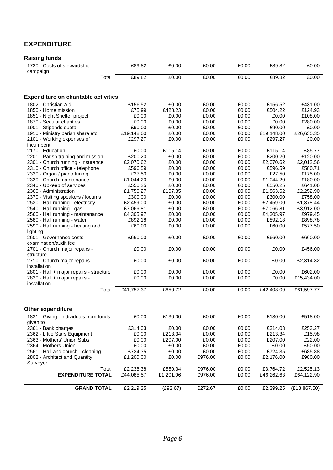## **EXPENDITURE**

| <b>Raising funds</b>                        |            |           |         |       |            |               |
|---------------------------------------------|------------|-----------|---------|-------|------------|---------------|
| 1720 - Costs of stewardship<br>campaign     | £89.82     | £0.00     | £0.00   | £0.00 | £89.82     | £0.00         |
| Total                                       | £89.82     | £0.00     | £0.00   | £0.00 | £89.82     | £0.00         |
| <b>Expenditure on charitable activities</b> |            |           |         |       |            |               |
| 1802 - Christian Aid                        | £156.52    | £0.00     | £0.00   | £0.00 | £156.52    | £431.00       |
| 1850 - Home mission                         | £75.99     | £428.23   | £0.00   | £0.00 | £504.22    | £124.93       |
| 1851 - Night Shelter project                | £0.00      | £0.00     | £0.00   | £0.00 | £0.00      | £108.00       |
| 1870 - Secular charities                    | £0.00      | £0.00     | £0.00   | £0.00 | £0.00      | £280.00       |
| 1901 - Stipends quota                       | £90.00     | £0.00     | £0.00   | £0.00 | £90.00     | £0.00         |
| 1910 - Ministry parish share etc            | £19,148.00 | £0.00     | £0.00   | £0.00 | £19,148.00 | £26,635.35    |
| 2101 - Working expenses of                  | £297.27    | £0.00     | £0.00   | £0.00 | £297.27    | £0.00         |
| incumbent                                   |            |           |         |       |            |               |
| 2170 - Education                            | £0.00      | £115.14   | £0.00   | £0.00 | £115.14    | £85.77        |
| 2201 - Parish training and mission          | £200.20    | £0.00     | £0.00   | £0.00 | £200.20    | £120.00       |
| 2301 - Church running - insurance           | £2,070.62  | £0.00     | £0.00   | £0.00 | £2,070.62  | £2,012.56     |
| 2310 - Church office - telephone            | £596.59    | £0.00     | £0.00   | £0.00 | £596.59    | £580.71       |
| 2320 - Organ / piano tuning                 | £27.50     | £0.00     | £0.00   | £0.00 | £27.50     | £175.00       |
| 2330 - Church maintenance                   | £1,044.20  | £0.00     | £0.00   | £0.00 | £1,044.20  | £180.00       |
| 2340 - Upkeep of services                   | £550.25    | £0.00     | £0.00   | £0.00 | £550.25    | £641.06       |
| 2360 - Administration                       | £1,756.27  | £107.35   | £0.00   | £0.00 | £1,863.62  | £2,252.90     |
| 2370 - Visiting speakers / locums           | £300.00    | £0.00     | £0.00   | £0.00 | £300.00    | £758.00       |
| 2530 - Hall running - electricity           | £2,459.00  | £0.00     | £0.00   | £0.00 | £2,459.00  | £1,378.44     |
| 2540 - Hall running - gas                   | £7,066.81  | £0.00     | £0.00   | £0.00 | £7,066.81  | £3,912.00     |
| 2560 - Hall running - maintenance           | £4,305.97  | £0.00     | £0.00   | £0.00 | £4,305.97  | £979.45       |
| 2580 - Hall running - water                 | £892.18    | £0.00     | £0.00   | £0.00 | £892.18    | £898.78       |
| 2590 - Hall running - heating and           | £60.00     | £0.00     | £0.00   | £0.00 | £60.00     | £577.50       |
| lighting<br>2601 - Governance costs         | £660.00    | £0.00     | £0.00   | £0.00 | £660.00    | £660.00       |
| examination/audit fee                       |            |           |         |       |            |               |
|                                             | £0.00      | £0.00     | £0.00   | £0.00 | £0.00      | £456.00       |
| 2701 - Church major repairs -<br>structure  |            |           |         |       |            |               |
| 2710 - Church major repairs -               | £0.00      | £0.00     | £0.00   | £0.00 | £0.00      | £2,314.32     |
| installation                                |            |           |         |       |            |               |
| 2801 - Hall + major repairs - structure     | £0.00      | £0.00     | £0.00   | £0.00 | £0.00      | £602.00       |
| 2820 - Hall + major repairs -               | £0.00      | £0.00     | £0.00   | £0.00 | £0.00      | £15,434.00    |
| installation                                |            |           |         |       |            |               |
| Total                                       | £41,757.37 | £650.72   | £0.00   | £0.00 | £42,408.09 | £61,597.77    |
|                                             |            |           |         |       |            |               |
| <b>Other expenditure</b>                    |            |           |         |       |            |               |
| 1831 - Giving - individuals from funds      | £0.00      | £130.00   | £0.00   | £0.00 | £130.00    | £518.00       |
| given to                                    |            |           |         |       |            |               |
| 2361 - Bank charges                         | £314.03    | £0.00     | £0.00   | £0.00 | £314.03    | £253.27       |
| 2362 - Little Stars Equipment               | £0.00      | £213.34   | £0.00   | £0.00 | £213.34    | £15.98        |
| 2363 - Mothers' Union Subs                  | £0.00      | £207.00   | £0.00   | £0.00 | £207.00    | £22.00        |
| 2364 - Mothers Union                        | £0.00      | £0.00     | £0.00   | £0.00 | £0.00      | £50.00        |
| 2561 - Hall and church - cleaning           | £724.35    | £0.00     | £0.00   | £0.00 | £724.35    | £685.88       |
| 2802 - Architect and Quantity               | £1,200.00  | £0.00     | £976.00 | £0.00 | £2,176.00  | £980.00       |
| Surveyor                                    |            |           |         |       |            |               |
| Total                                       | £2,238.38  | £550.34   | £976.00 | £0.00 | £3,764.72  | £2,525.13     |
| <b>EXPENDITURE TOTAL</b>                    | £44,085.57 | £1,201.06 | £976.00 | £0.00 | £46,262.63 | £64,122.90    |
|                                             |            |           |         |       |            |               |
| <b>GRAND TOTAL</b>                          | £2,219.25  | (E92.67)  | £272.67 | £0.00 | £2,399.25  | (E13, 867.50) |